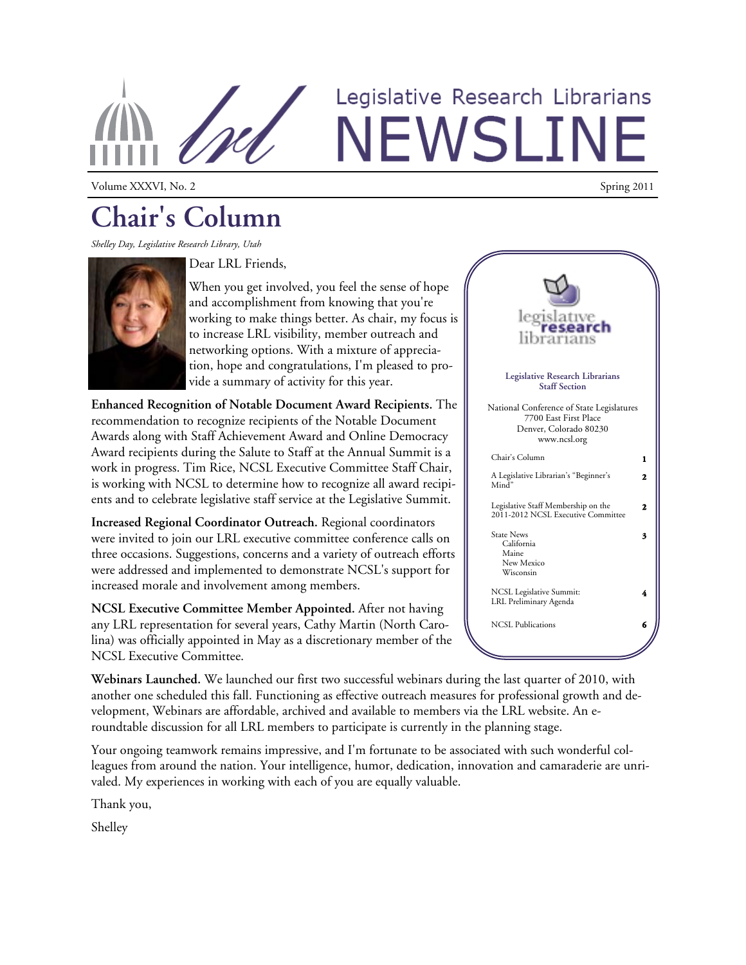

# Legislative Research Librarians WSI TN

Volume XXXVI, No. 2

## **Chair's Column**

*Shelley Day, Legislative Research Library, Utah* 

Dear LRL Friends,



When you get involved, you feel the sense of hope and accomplishment from knowing that you're working to make things better. As chair, my focus is to increase LRL visibility, member outreach and networking options. With a mixture of appreciation, hope and congratulations, I'm pleased to provide a summary of activity for this year.

**Enhanced Recognition of Notable Document Award Recipients.** The recommendation to recognize recipients of the Notable Document Awards along with Staff Achievement Award and Online Democracy Award recipients during the Salute to Staff at the Annual Summit is a work in progress. Tim Rice, NCSL Executive Committee Staff Chair, is working with NCSL to determine how to recognize all award recipients and to celebrate legislative staff service at the Legislative Summit.

**Increased Regional Coordinator Outreach.** Regional coordinators were invited to join our LRL executive committee conference calls on three occasions. Suggestions, concerns and a variety of outreach efforts were addressed and implemented to demonstrate NCSL's support for increased morale and involvement among members.

**NCSL Executive Committee Member Appointed.** After not having any LRL representation for several years, Cathy Martin (North Carolina) was officially appointed in May as a discretionary member of the NCSL Executive Committee.

**Legislative Research Librarians Staff Section**  National Conference of State Legislatures 7700 East First Place Denver, Colorado 80230 www.ncsl.org Chair's Column **1**  A Legislative Librarian's "Beginner's Mind<sup>"</sup> **2**  Legislative Staff Membership on the 2011-2012 NCSL Executive Committee **2**  State News California Maine New Mexico Wisconsin **3**  NCSL Publications **6**  NCSL Legislative Summit: LRL Preliminary Agenda **4** 

**Webinars Launched.** We launched our first two successful webinars during the last quarter of 2010, with another one scheduled this fall. Functioning as effective outreach measures for professional growth and development, Webinars are affordable, archived and available to members via the LRL website. An eroundtable discussion for all LRL members to participate is currently in the planning stage.

Your ongoing teamwork remains impressive, and I'm fortunate to be associated with such wonderful colleagues from around the nation. Your intelligence, humor, dedication, innovation and camaraderie are unrivaled. My experiences in working with each of you are equally valuable.

Thank you,

Shelley

Spring 2011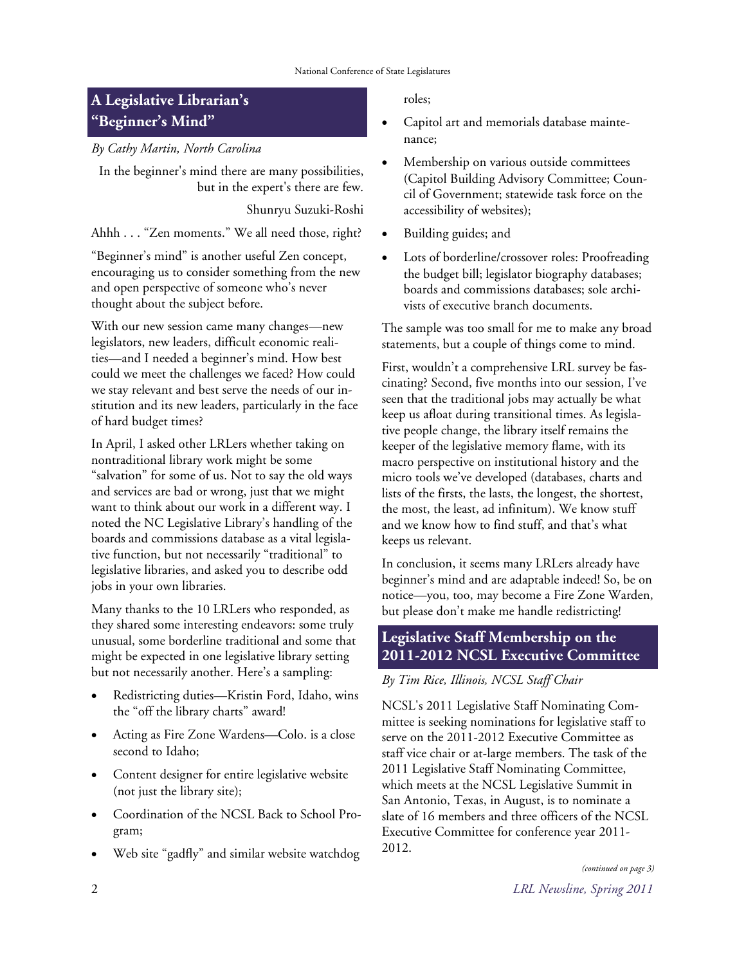### **A Legislative Librarian's "Beginner's Mind"**

*By Cathy Martin, North Carolina* 

In the beginner's mind there are many possibilities, but in the expert's there are few.

Shunryu Suzuki-Roshi

Ahhh . . . "Zen moments." We all need those, right?

"Beginner's mind" is another useful Zen concept, encouraging us to consider something from the new and open perspective of someone who's never thought about the subject before.

With our new session came many changes—new legislators, new leaders, difficult economic realities—and I needed a beginner's mind. How best could we meet the challenges we faced? How could we stay relevant and best serve the needs of our institution and its new leaders, particularly in the face of hard budget times?

In April, I asked other LRLers whether taking on nontraditional library work might be some "salvation" for some of us. Not to say the old ways and services are bad or wrong, just that we might want to think about our work in a different way. I noted the NC Legislative Library's handling of the boards and commissions database as a vital legislative function, but not necessarily "traditional" to legislative libraries, and asked you to describe odd jobs in your own libraries.

Many thanks to the 10 LRLers who responded, as they shared some interesting endeavors: some truly unusual, some borderline traditional and some that might be expected in one legislative library setting but not necessarily another. Here's a sampling:

- Redistricting duties—Kristin Ford, Idaho, wins the "off the library charts" award!
- Acting as Fire Zone Wardens—Colo. is a close second to Idaho;
- Content designer for entire legislative website (not just the library site);
- Coordination of the NCSL Back to School Program;
- Web site "gadfly" and similar website watchdog

#### roles;

- Capitol art and memorials database maintenance;
- Membership on various outside committees (Capitol Building Advisory Committee; Council of Government; statewide task force on the accessibility of websites);
- Building guides; and
- Lots of borderline/crossover roles: Proofreading the budget bill; legislator biography databases; boards and commissions databases; sole archivists of executive branch documents.

The sample was too small for me to make any broad statements, but a couple of things come to mind.

First, wouldn't a comprehensive LRL survey be fascinating? Second, five months into our session, I've seen that the traditional jobs may actually be what keep us afloat during transitional times. As legislative people change, the library itself remains the keeper of the legislative memory flame, with its macro perspective on institutional history and the micro tools we've developed (databases, charts and lists of the firsts, the lasts, the longest, the shortest, the most, the least, ad infinitum). We know stuff and we know how to find stuff, and that's what keeps us relevant.

In conclusion, it seems many LRLers already have beginner's mind and are adaptable indeed! So, be on notice—you, too, may become a Fire Zone Warden, but please don't make me handle redistricting!

#### **Legislative Staff Membership on the 2011-2012 NCSL Executive Committee**

#### *By Tim Rice, Illinois, NCSL Staff Chair*

NCSL's 2011 Legislative Staff Nominating Committee is seeking nominations for legislative staff to serve on the 2011-2012 Executive Committee as staff vice chair or at-large members. The task of the 2011 Legislative Staff Nominating Committee, which meets at the NCSL Legislative Summit in San Antonio, Texas, in August, is to nominate a slate of 16 members and three officers of the NCSL Executive Committee for conference year 2011- 2012.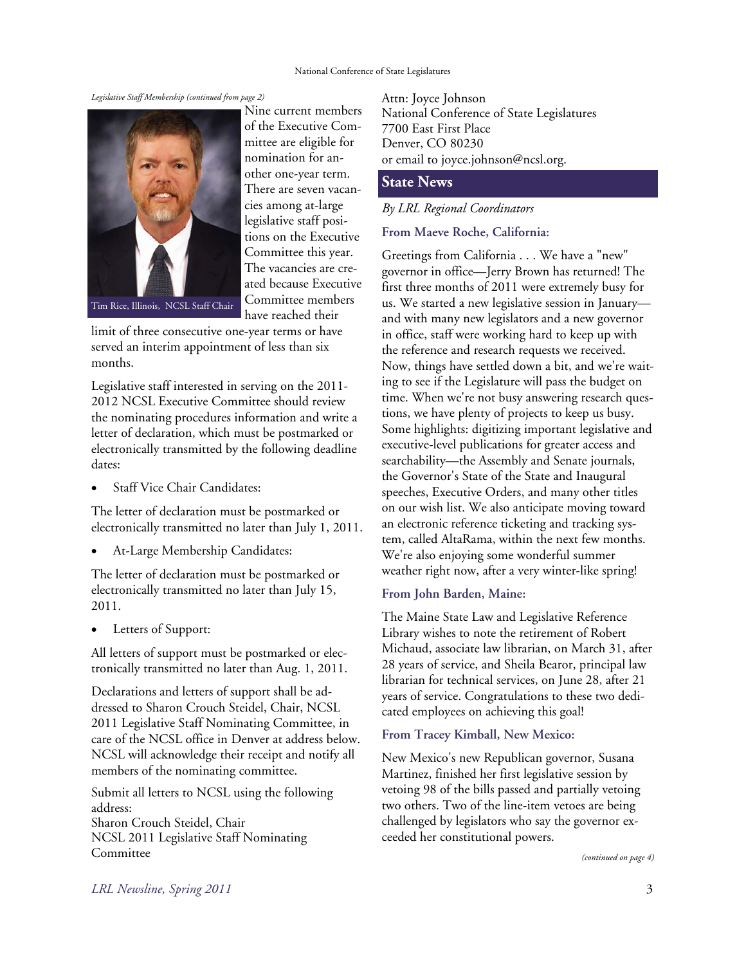*Legislative Staff Membership (continued from page 2)* 



Nine current members of the Executive Committee are eligible for nomination for another one-year term. There are seven vacancies among at-large legislative staff positions on the Executive Committee this year. The vacancies are created because Executive Committee members have reached their

limit of three consecutive one-year terms or have served an interim appointment of less than six months.

Legislative staff interested in serving on the 2011- 2012 NCSL Executive Committee should review the nominating procedures information and write a letter of declaration, which must be postmarked or electronically transmitted by the following deadline dates:

Staff Vice Chair Candidates:

The letter of declaration must be postmarked or electronically transmitted no later than July 1, 2011.

• At-Large Membership Candidates:

The letter of declaration must be postmarked or electronically transmitted no later than July 15, 2011.

• Letters of Support:

All letters of support must be postmarked or electronically transmitted no later than Aug. 1, 2011.

Declarations and letters of support shall be addressed to Sharon Crouch Steidel, Chair, NCSL 2011 Legislative Staff Nominating Committee, in care of the NCSL office in Denver at address below. NCSL will acknowledge their receipt and notify all members of the nominating committee.

Submit all letters to NCSL using the following address:

Sharon Crouch Steidel, Chair NCSL 2011 Legislative Staff Nominating Committee

Attn: Joyce Johnson National Conference of State Legislatures 7700 East First Place Denver, CO 80230 or email to joyce.johnson@ncsl.org.

#### **State News**

#### *By LRL Regional Coordinators*

#### **From Maeve Roche, California:**

Greetings from California . . . We have a "new" governor in office—Jerry Brown has returned! The first three months of 2011 were extremely busy for us. We started a new legislative session in January and with many new legislators and a new governor in office, staff were working hard to keep up with the reference and research requests we received. Now, things have settled down a bit, and we're waiting to see if the Legislature will pass the budget on time. When we're not busy answering research questions, we have plenty of projects to keep us busy. Some highlights: digitizing important legislative and executive-level publications for greater access and searchability—the Assembly and Senate journals, the Governor's State of the State and Inaugural speeches, Executive Orders, and many other titles on our wish list. We also anticipate moving toward an electronic reference ticketing and tracking system, called AltaRama, within the next few months. We're also enjoying some wonderful summer weather right now, after a very winter-like spring!

#### **From John Barden, Maine:**

The Maine State Law and Legislative Reference Library wishes to note the retirement of Robert Michaud, associate law librarian, on March 31, after 28 years of service, and Sheila Bearor, principal law librarian for technical services, on June 28, after 21 years of service. Congratulations to these two dedicated employees on achieving this goal!

#### **From Tracey Kimball, New Mexico:**

New Mexico's new Republican governor, Susana Martinez, finished her first legislative session by vetoing 98 of the bills passed and partially vetoing two others. Two of the line-item vetoes are being challenged by legislators who say the governor exceeded her constitutional powers.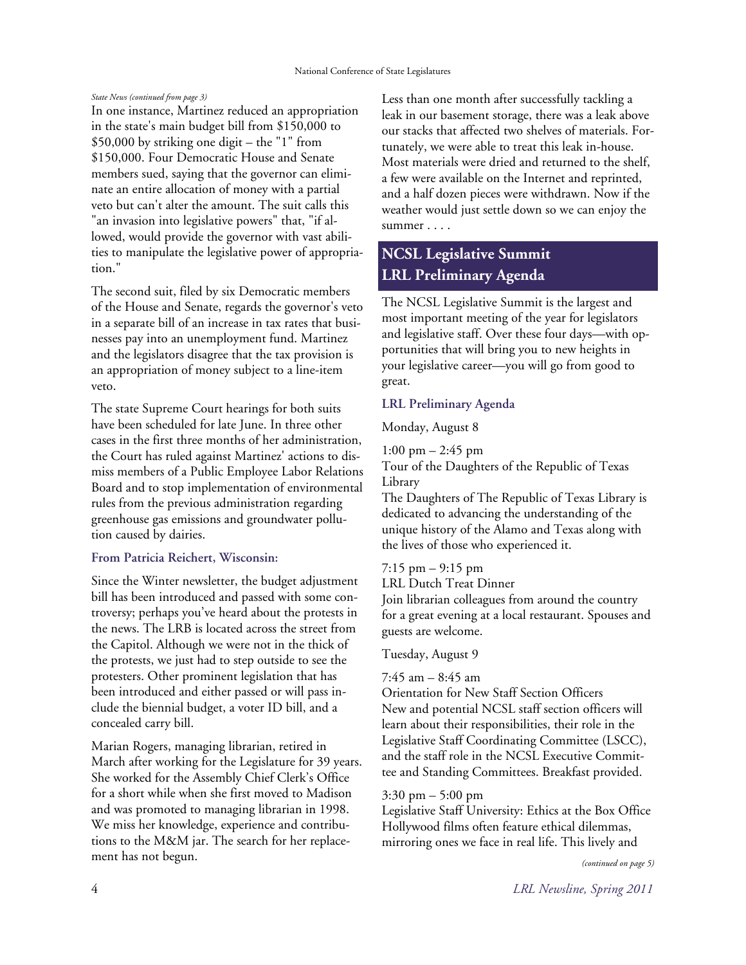#### *State News (continued from page 3)*

In one instance, Martinez reduced an appropriation in the state's main budget bill from \$150,000 to \$50,000 by striking one digit – the "1" from \$150,000. Four Democratic House and Senate members sued, saying that the governor can eliminate an entire allocation of money with a partial veto but can't alter the amount. The suit calls this "an invasion into legislative powers" that, "if allowed, would provide the governor with vast abilities to manipulate the legislative power of appropriation."

The second suit, filed by six Democratic members of the House and Senate, regards the governor's veto in a separate bill of an increase in tax rates that businesses pay into an unemployment fund. Martinez and the legislators disagree that the tax provision is an appropriation of money subject to a line-item veto.

The state Supreme Court hearings for both suits have been scheduled for late June. In three other cases in the first three months of her administration, the Court has ruled against Martinez' actions to dismiss members of a Public Employee Labor Relations Board and to stop implementation of environmental rules from the previous administration regarding greenhouse gas emissions and groundwater pollution caused by dairies.

#### **From Patricia Reichert, Wisconsin:**

Since the Winter newsletter, the budget adjustment bill has been introduced and passed with some controversy; perhaps you've heard about the protests in the news. The LRB is located across the street from the Capitol. Although we were not in the thick of the protests, we just had to step outside to see the protesters. Other prominent legislation that has been introduced and either passed or will pass include the biennial budget, a voter ID bill, and a concealed carry bill.

Marian Rogers, managing librarian, retired in March after working for the Legislature for 39 years. She worked for the Assembly Chief Clerk's Office for a short while when she first moved to Madison and was promoted to managing librarian in 1998. We miss her knowledge, experience and contributions to the M&M jar. The search for her replacement has not begun.

Less than one month after successfully tackling a leak in our basement storage, there was a leak above our stacks that affected two shelves of materials. Fortunately, we were able to treat this leak in-house. Most materials were dried and returned to the shelf, a few were available on the Internet and reprinted, and a half dozen pieces were withdrawn. Now if the weather would just settle down so we can enjoy the summer . . . .

#### **NCSL Legislative Summit LRL Preliminary Agenda**

The NCSL Legislative Summit is the largest and most important meeting of the year for legislators and legislative staff. Over these four days—with opportunities that will bring you to new heights in your legislative career—you will go from good to great.

#### **LRL Preliminary Agenda**

Monday, August 8

 $1:00 \text{ pm} - 2:45 \text{ pm}$ 

Tour of the Daughters of the Republic of Texas Library

The Daughters of The Republic of Texas Library is dedicated to advancing the understanding of the unique history of the Alamo and Texas along with the lives of those who experienced it.

#### 7:15 pm – 9:15 pm

LRL Dutch Treat Dinner

Join librarian colleagues from around the country for a great evening at a local restaurant. Spouses and guests are welcome.

Tuesday, August 9

#### 7:45 am – 8:45 am

Orientation for New Staff Section Officers New and potential NCSL staff section officers will learn about their responsibilities, their role in the Legislative Staff Coordinating Committee (LSCC), and the staff role in the NCSL Executive Committee and Standing Committees. Breakfast provided.

#### 3:30 pm – 5:00 pm

Legislative Staff University: Ethics at the Box Office Hollywood films often feature ethical dilemmas, mirroring ones we face in real life. This lively and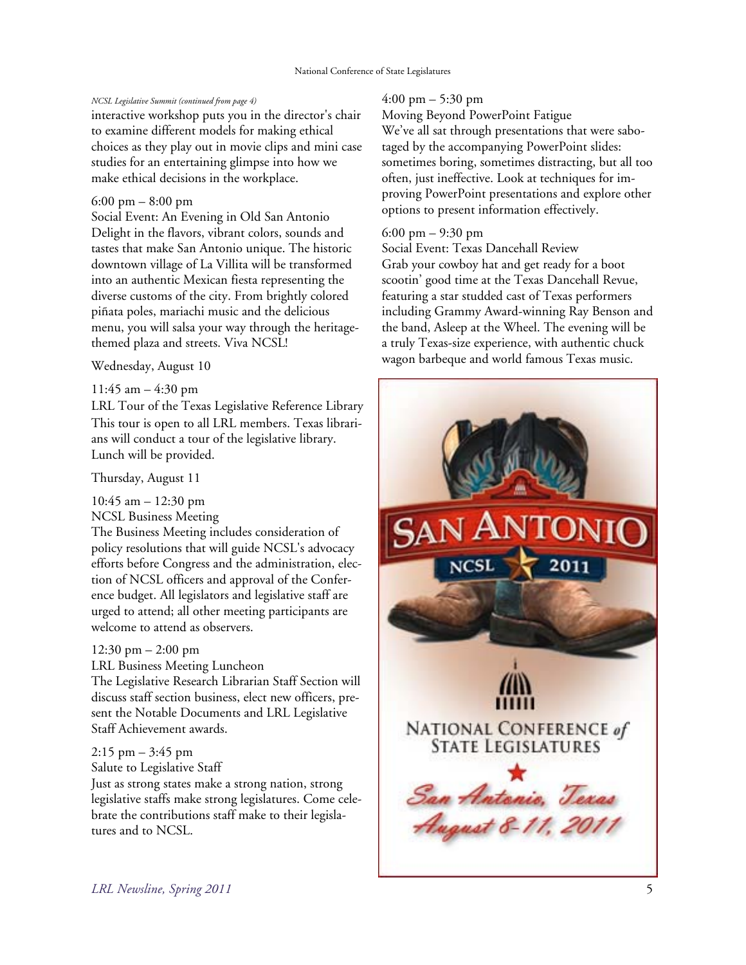#### *NCSL Legislative Summit (continued from page 4)* 4:00 pm – 5:30 pm

interactive workshop puts you in the director's chair to examine different models for making ethical choices as they play out in movie clips and mini case studies for an entertaining glimpse into how we make ethical decisions in the workplace.

#### 6:00 pm – 8:00 pm

Social Event: An Evening in Old San Antonio Delight in the flavors, vibrant colors, sounds and tastes that make San Antonio unique. The historic downtown village of La Villita will be transformed into an authentic Mexican fiesta representing the diverse customs of the city. From brightly colored piñata poles, mariachi music and the delicious menu, you will salsa your way through the heritagethemed plaza and streets. Viva NCSL!

#### Wednesday, August 10

#### 11:45 am – 4:30 pm

LRL Tour of the Texas Legislative Reference Library This tour is open to all LRL members. Texas librarians will conduct a tour of the legislative library. Lunch will be provided.

Thursday, August 11

10:45 am – 12:30 pm

NCSL Business Meeting

The Business Meeting includes consideration of policy resolutions that will guide NCSL's advocacy efforts before Congress and the administration, election of NCSL officers and approval of the Conference budget. All legislators and legislative staff are urged to attend; all other meeting participants are welcome to attend as observers.

#### 12:30 pm – 2:00 pm

LRL Business Meeting Luncheon

The Legislative Research Librarian Staff Section will discuss staff section business, elect new officers, present the Notable Documents and LRL Legislative Staff Achievement awards.

#### $2:15$  pm  $-3:45$  pm

Salute to Legislative Staff

Just as strong states make a strong nation, strong legislative staffs make strong legislatures. Come celebrate the contributions staff make to their legislatures and to NCSL.

Moving Beyond PowerPoint Fatigue We've all sat through presentations that were sabo-

taged by the accompanying PowerPoint slides: sometimes boring, sometimes distracting, but all too often, just ineffective. Look at techniques for improving PowerPoint presentations and explore other options to present information effectively.

#### 6:00 pm – 9:30 pm

Social Event: Texas Dancehall Review Grab your cowboy hat and get ready for a boot scootin' good time at the Texas Dancehall Revue, featuring a star studded cast of Texas performers including Grammy Award-winning Ray Benson and the band, Asleep at the Wheel. The evening will be a truly Texas-size experience, with authentic chuck wagon barbeque and world famous Texas music.